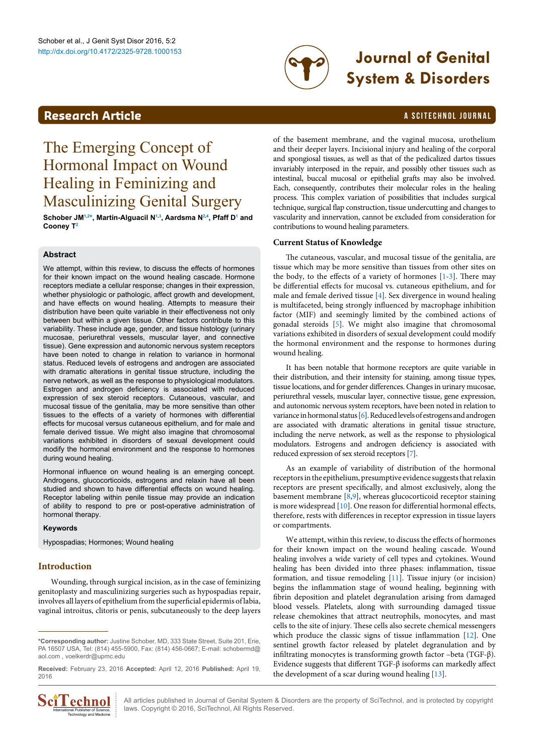

# http://dx.doi.org/10.4172/2325-9728.1000153 **Journal of Genital System & Disorders**

# **Research Article a Scittering Control in the Scittering Article in the Scittering Article in the Scittering Control in the Scittering Control in the Scittering Control in the Scittering Control in the Scittering Control**

# The Emerging Concept of Hormonal Impact on Wound Healing in Feminizing and Masculinizing Genital Surgery

**Schober JM[1](#page-4-0)[,2](#page-4-1) [\\*](#page-0-0), Martín-Alguacil [N1](#page-4-0)[,3](#page-4-2) , Aardsma [N2,](#page-4-1)[4](#page-4-3) , Pfaff D[1](#page-4-0) and Cooney T[2](#page-4-1)**

# **Abstract**

We attempt, within this review, to discuss the effects of hormones for their known impact on the wound healing cascade. Hormone receptors mediate a cellular response; changes in their expression, whether physiologic or pathologic, affect growth and development, and have effects on wound healing. Attempts to measure their distribution have been quite variable in their effectiveness not only between but within a given tissue. Other factors contribute to this variability. These include age, gender, and tissue histology (urinary mucosae, periurethral vessels, muscular layer, and connective tissue). Gene expression and autonomic nervous system receptors have been noted to change in relation to variance in hormonal status. Reduced levels of estrogens and androgen are associated with dramatic alterations in genital tissue structure, including the nerve network, as well as the response to physiological modulators. Estrogen and androgen deficiency is associated with reduced expression of sex steroid receptors. Cutaneous, vascular, and mucosal tissue of the genitalia, may be more sensitive than other tissues to the effects of a variety of hormones with differential effects for mucosal versus cutaneous epithelium, and for male and female derived tissue. We might also imagine that chromosomal variations exhibited in disorders of sexual development could modify the hormonal environment and the response to hormones during wound healing.

Hormonal influence on wound healing is an emerging concept. Androgens, glucocorticoids, estrogens and relaxin have all been studied and shown to have differential effects on wound healing. Receptor labeling within penile tissue may provide an indication of ability to respond to pre or post-operative administration of hormonal therapy.

# **Keywords**

Hypospadias; Hormones; Wound healing

# **Introduction**

Wounding, through surgical incision, as in the case of feminizing genitoplasty and masculinizing surgeries such as hypospadias repair, involves all layers of epithelium from the superficial epidermis of labia, vaginal introitus, clitoris or penis, subcutaneously to the deep layers

**Received:** February 23, 2016 **Accepted:** April 12, 2016 **Published:** April 19, 2016



of the basement membrane, and the vaginal mucosa, urothelium and their deeper layers. Incisional injury and healing of the corporal and spongiosal tissues, as well as that of the pedicalized dartos tissues invariably interposed in the repair, and possibly other tissues such as intestinal, buccal mucosal or epithelial grafts may also be involved. Each, consequently, contributes their molecular roles in the healing process. This complex variation of possibilities that includes surgical technique, surgical flap construction, tissue undercutting and changes to vascularity and innervation, cannot be excluded from consideration for contributions to wound healing parameters.

# **Current Status of Knowledge**

The cutaneous, vascular, and mucosal tissue of the genitalia, are tissue which may be more sensitive than tissues from other sites on the body, to the effects of a variety of hormones  $[1-3]$  $[1-3]$  $[1-3]$ . There may be differential effects for mucosal vs. cutaneous epithelium, and for male and female derived tissue [[4\]](#page-2-2). Sex divergence in wound healing is multifaceted, being strongly influenced by macrophage inhibition factor (MIF) and seemingly limited by the combined actions of gonadal steroids [[5](#page-2-3)]. We might also imagine that chromosomal variations exhibited in disorders of sexual development could modify the hormonal environment and the response to hormones during wound healing.

It has been notable that hormone receptors are quite variable in their distribution, and their intensity for staining, among tissue types, tissue locations, and for gender differences. Changes in urinary mucosae, periurethral vessels, muscular layer, connective tissue, gene expression, and autonomic nervous system receptors, have been noted in relation to variance in hormonal status [\[6\]](#page-2-4). Reduced levels of estrogens and androgen are associated with dramatic alterations in genital tissue structure, including the nerve network, as well as the response to physiological modulators. Estrogens and androgen deficiency is associated with reduced expression of sex steroid receptors [[7\]](#page-2-5).

As an example of variability of distribution of the hormonal receptors in the epithelium, presumptive evidence suggests that relaxin receptors are present specifically, and almost exclusively, along the basement membrane [[8,](#page-2-6)[9](#page-2-7)], whereas glucocorticoid receptor staining is more widespread [[10](#page-2-8)]. One reason for differential hormonal effects, therefore, rests with differences in receptor expression in tissue layers or compartments.

We attempt, within this review, to discuss the effects of hormones for their known impact on the wound healing cascade. Wound healing involves a wide variety of cell types and cytokines. Wound healing has been divided into three phases: inflammation, tissue formation, and tissue remodeling [\[11](#page-2-9)]. Tissue injury (or incision) begins the inflammation stage of wound healing, beginning with fibrin deposition and platelet degranulation arising from damaged blood vessels. Platelets, along with surrounding damaged tissue release chemokines that attract neutrophils, monocytes, and mast cells to the site of injury. These cells also secrete chemical messengers which produce the classic signs of tissue inflammation [[12](#page-2-10)]. One sentinel growth factor released by platelet degranulation and by infiltrating monocytes is transforming growth factor –beta (TGF-β). Evidence suggests that different TGF-β isoforms can markedly affect the development of a scar during wound healing [\[13\]](#page-2-11).

All articles published in Journal of Genital System & Disorders are the property of SciTechnol, and is protected by copyright **COMBOLE ALL** All articles published in Journal of Genital System & Diso<br>  $\frac{1}{\text{Total Publisher of Science}}$  : laws. Copyright © 2016, SciTechnol, All Rights Reserved.

<span id="page-0-0"></span>**<sup>\*</sup>Corresponding author:** Justine Schober, MD, 333 State Street, Suite 201, Erie, PA 16507 USA, Tel: (814) 455-5900, Fax: (814) 456-0667; E-mail: schobermd@ aol.com , voelkerdr@upmc.edu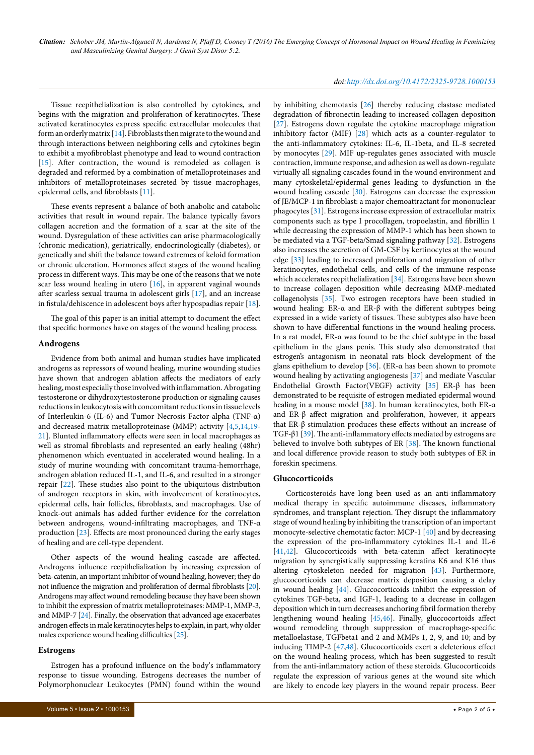*doi:http://dx.doi.org/10.4172/2325-9728.1000153*

Tissue reepithelialization is also controlled by cytokines, and begins with the migration and proliferation of keratinocytes. These activated keratinocytes express specific extracellular molecules that form an orderly matrix [\[14\]](#page-2-12). Fibroblasts then migrate to the wound and through interactions between neighboring cells and cytokines begin to exhibit a myofibroblast phenotype and lead to wound contraction [[15](#page-2-13)]. After contraction, the wound is remodeled as collagen is degraded and reformed by a combination of metalloproteinases and inhibitors of metalloproteinases secreted by tissue macrophages, epidermal cells, and fibroblasts [[11\]](#page-2-9).

These events represent a balance of both anabolic and catabolic activities that result in wound repair. The balance typically favors collagen accretion and the formation of a scar at the site of the wound. Dysregulation of these activities can arise pharmacologically (chronic medication), geriatrically, endocrinologically (diabetes), or genetically and shift the balance toward extremes of keloid formation or chronic ulceration. Hormones affect stages of the wound healing process in different ways. This may be one of the reasons that we note scar less wound healing in utero [\[16\]](#page-2-14), in apparent vaginal wounds after scarless sexual trauma in adolescent girls [[17\]](#page-2-15), and an increase in fistula/dehiscence in adolescent boys after hypospadias repair [[18](#page-2-16)].

The goal of this paper is an initial attempt to document the effect that specific hormones have on stages of the wound healing process.

#### **Androgens**

Evidence from both animal and human studies have implicated androgens as repressors of wound healing, murine wounding studies have shown that androgen ablation affects the mediators of early healing, most especially those involved with inflammation. Abrogating testosterone or dihydroxytestosterone production or signaling causes reductions in leukocytosis with concomitant reductions in tissue levels of Interleukin-6 (IL-6) and Tumor Necrosis Factor-alpha (TNF-α) and decreased matrix metalloproteinase (MMP) activity [\[4,](#page-2-2)[5,](#page-2-3)[14,](#page-2-12)[19](#page-2-17)- [21](#page-3-0)]. Blunted inflammatory effects were seen in local macrophages as well as stromal fibroblasts and represented an early healing (48hr) phenomenon which eventuated in accelerated wound healing. In a study of murine wounding with concomitant trauma-hemorrhage, androgen ablation reduced IL-1, and IL-6, and resulted in a stronger repair [[22](#page-3-1)]. These studies also point to the ubiquitous distribution of androgen receptors in skin, with involvement of keratinocytes, epidermal cells, hair follicles, fibroblasts, and macrophages. Use of knock-out animals has added further evidence for the correlation between androgens, wound-infiltrating macrophages, and TNF-α production [\[23\]](#page-3-2). Effects are most pronounced during the early stages of healing and are cell-type dependent.

Other aspects of the wound healing cascade are affected. Androgens influence reepithelialization by increasing expression of beta-catenin, an important inhibitor of wound healing, however; they do not influence the migration and proliferation of dermal fibroblasts [\[20\]](#page-3-3). Androgens may affect wound remodeling because they have been shown to inhibit the expression of matrix metalloproteinases: MMP-1, MMP-3, and MMP-7 [\[24](#page-3-4)]. Finally, the observation that advanced age exacerbates androgen effects in male keratinocytes helps to explain, in part, why older males experience wound healing difficulties [[25\]](#page-3-5).

# **Estrogens**

Estrogen has a profound influence on the body's inflammatory response to tissue wounding. Estrogens decreases the number of Polymorphonuclear Leukocytes (PMN) found within the wound by inhibiting chemotaxis [\[26\]](#page-3-6) thereby reducing elastase mediated degradation of fibronectin leading to increased collagen deposition [[27](#page-3-7)]. Estrogens down regulate the cytokine macrophage migration inhibitory factor (MIF) [\[28\]](#page-3-8) which acts as a counter-regulator to the anti-inflammatory cytokines: IL-6, IL-1beta, and IL-8 secreted by monocytes [[29](#page-3-9)]. MIF up-regulates genes associated with muscle contraction, immune response, and adhesion as well as down-regulate virtually all signaling cascades found in the wound environment and many cytoskeletal/epidermal genes leading to dysfunction in the wound healing cascade [[30](#page-3-10)]. Estrogens can decrease the expression of JE/MCP-1 in fibroblast: a major chemoattractant for mononuclear phagocytes [[31](#page-3-11)]. Estrogens increase expression of extracellular matrix components such as type I procollagen, tropoelastin, and fibrillin 1 while decreasing the expression of MMP-1 which has been shown to be mediated via a TGF-beta/Smad signaling pathway [\[32\]](#page-3-12). Estrogens also increases the secretion of GM-CSF by kertinocytes at the wound edge [\[33](#page-3-13)] leading to increased proliferation and migration of other keratinocytes, endothelial cells, and cells of the immune response which accelerates reepithelialization [[34\]](#page-3-14). Estrogens have been shown to increase collagen deposition while decreasing MMP-mediated collagenolysis [[35](#page-3-15)]. Two estrogen receptors have been studied in wound healing: ER-α and ER-β with the different subtypes being expressed in a wide variety of tissues. These subtypes also have been shown to have differential functions in the wound healing process. In a rat model, ER-α was found to be the chief subtype in the basal epithelium in the glans penis. This study also demonstrated that estrogen's antagonism in neonatal rats block development of the glans epithelium to develop [[36\]](#page-3-16). (ER-α has been shown to promote wound healing by activating angiogenesis [\[37\]](#page-3-17) and mediate Vascular Endothelial Growth Factor(VEGF) activity [\[35\]](#page-3-15) ER-β has been demonstrated to be requisite of estrogen mediated epidermal wound healing in a mouse model [[38\]](#page-3-18). In human keratinocytes, both ER-α and ER-β affect migration and proliferation, however, it appears that ER-β stimulation produces these effects without an increase of TGF-β1 [\[39\]](#page-3-19). The anti-inflammatory effects mediated by estrogens are believed to involve both subtypes of ER [[38](#page-3-18)]. The known functional and local difference provide reason to study both subtypes of ER in foreskin specimens.

#### **Glucocorticoids**

Corticosteroids have long been used as an anti-inflammatory medical therapy in specific autoimmune diseases, inflammatory syndromes, and transplant rejection. They disrupt the inflammatory stage of wound healing by inhibiting the transcription of an important monocyte-selective chemotatic factor: MCP-1 [[40](#page-3-20)] and by decreasing the expression of the pro-inflammatory cytokines IL-1 and IL-6 [[41](#page-3-21),[42](#page-3-22)]. Glucocorticoids with beta-catenin affect keratinocyte migration by synergistically suppressing keratins K6 and K16 thus altering cytoskeleton needed for migration [\[43\]](#page-3-23). Furthermore, gluccocorticoids can decrease matrix deposition causing a delay in wound healing [[44](#page-3-24)]. Gluccocorticoids inhibit the expression of cytokines TGF-beta, and IGF-1, leading to a decrease in collagen deposition which in turn decreases anchoring fibril formation thereby lengthening wound healing [[45](#page-3-25),[46](#page-3-26)]. Finally, gluccocortoids affect wound remodeling through suppression of macrophage-specific metalloelastase, TGFbeta1 and 2 and MMPs 1, 2, 9, and 10; and by inducing TIMP-2 [\[47,](#page-3-27)[48](#page-3-28)]. Glucocorticoids exert a deleterious effect on the wound healing process, which has been suggested to result from the anti-inflammatory action of these steroids. Glucocorticoids regulate the expression of various genes at the wound site which are likely to encode key players in the wound repair process. Beer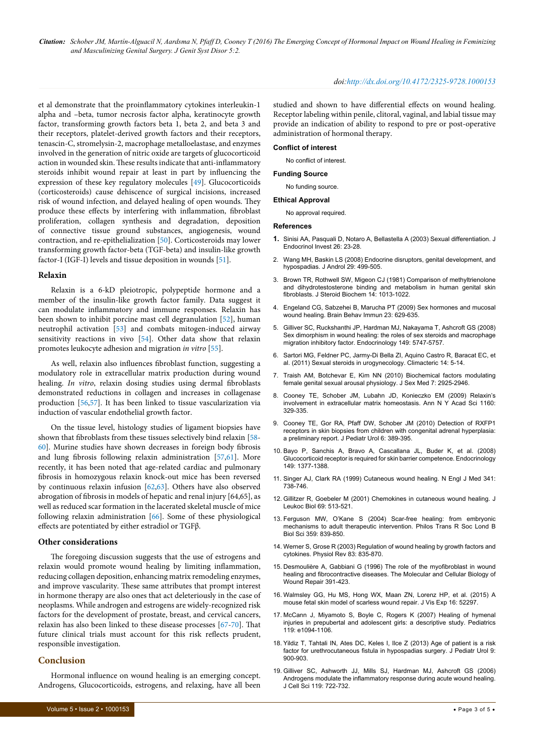*Citation: Schober JM, Martín-Alguacil N, Aardsma N, Pfaff D, Cooney T (2016) The Emerging Concept of Hormonal Impact on Wound Healing in Feminizing and Masculinizing Genital Surgery. J Genit Syst Disor 5:2.*

et al demonstrate that the proinflammatory cytokines interleukin-1 alpha and –beta, tumor necrosis factor alpha, keratinocyte growth factor, transforming growth factors beta 1, beta 2, and beta 3 and their receptors, platelet-derived growth factors and their receptors, tenascin-C, stromelysin-2, macrophage metalloelastase, and enzymes involved in the generation of nitric oxide are targets of glucocorticoid action in wounded skin. These results indicate that anti-inflammatory steroids inhibit wound repair at least in part by influencing the expression of these key regulatory molecules [[49](#page-3-29)]. Glucocorticoids (corticosteroids) cause dehiscence of surgical incisions, increased risk of wound infection, and delayed healing of open wounds. They produce these effects by interfering with inflammation, fibroblast proliferation, collagen synthesis and degradation, deposition of connective tissue ground substances, angiogenesis, wound contraction, and re-epithelialization [\[50](#page-3-30)]. Corticosteroids may lower transforming growth factor-beta (TGF-beta) and insulin-like growth factor-I (IGF-I) levels and tissue deposition in wounds [[51\]](#page-3-31).

#### **Relaxin**

Relaxin is a 6-kD pleiotropic, polypeptide hormone and a member of the insulin-like growth factor family. Data suggest it can modulate inflammatory and immune responses. Relaxin has been shown to inhibit porcine mast cell degranulation [\[52\]](#page-3-32), human neutrophil activation [\[53\]](#page-3-33) and combats mitogen-induced airway sensitivity reactions in vivo [\[54\]](#page-3-34). Other data show that relaxin promotes leukocyte adhesion and migration *in vitro* [\[55\]](#page-3-35).

As well, relaxin also influences fibroblast function, suggesting a modulatory role in extracellular matrix production during wound healing. *In vitro*, relaxin dosing studies using dermal fibroblasts demonstrated reductions in collagen and increases in collagenase production [[56](#page-3-36)[,57\]](#page-3-37). It has been linked to tissue vascularization via induction of vascular endothelial growth factor.

On the tissue level, histology studies of ligament biopsies have shown that fibroblasts from these tissues selectively bind relaxin [[58](#page-3-38)- [60](#page-3-39)]. Murine studies have shown decreases in foreign body fibrosis and lung fibrosis following relaxin administration [[57](#page-3-37)[,61](#page-3-40)]. More recently, it has been noted that age-related cardiac and pulmonary fibrosis in homozygous relaxin knock-out mice has been reversed by continuous relaxin infusion [\[62,](#page-4-4)[63](#page-4-5)]. Others have also observed abrogation of fibrosis in models of hepatic and renal injury [64,65], as well as reduced scar formation in the lacerated skeletal muscle of mice following relaxin administration [\[66\]](#page-4-6). Some of these physiological effects are potentiated by either estradiol or TGFβ.

#### **Other considerations**

The foregoing discussion suggests that the use of estrogens and relaxin would promote wound healing by limiting inflammation, reducing collagen deposition, enhancing matrix remodeling enzymes, and improve vascularity. These same attributes that prompt interest in hormone therapy are also ones that act deleteriously in the case of neoplasms. While androgen and estrogens are widely-recognized risk factors for the development of prostate, breast, and cervical cancers, relaxin has also been linked to these disease processes [[67-](#page-4-7)[70](#page-4-8)]. That future clinical trials must account for this risk reflects prudent, responsible investigation.

### **Conclusion**

Hormonal influence on wound healing is an emerging concept. Androgens, Glucocorticoids, estrogens, and relaxing, have all been

#### *doi:http://dx.doi.org/10.4172/2325-9728.1000153*

studied and shown to have differential effects on wound healing. Receptor labeling within penile, clitoral, vaginal, and labial tissue may provide an indication of ability to respond to pre or post-operative administration of hormonal therapy.

#### **Conflict of interest**

No conflict of interest.

#### **Funding Source**

No funding source.

# **Ethical Approval**

No approval required.

#### **References**

- <span id="page-2-0"></span>**1.** [Sinisi AA, Pasquali D, Notaro A, Bellastella A \(2003\) Sexual differentiation. J](http://www.ncbi.nlm.nih.gov/pubmed/12834017)  [Endocrinol Invest 26: 23-28.](http://www.ncbi.nlm.nih.gov/pubmed/12834017)
- 2. [Wang MH, Baskin LS \(2008\) Endocrine disruptors, genital development, and](http://www.ncbi.nlm.nih.gov/pubmed/18497336)  [hypospadias. J Androl 29: 499-505.](http://www.ncbi.nlm.nih.gov/pubmed/18497336)
- <span id="page-2-1"></span>3. [Brown TR, Rothwell SW, Migeon CJ \(1981\) Comparison of methyltrienolone](http://www.ncbi.nlm.nih.gov/pubmed/6975397)  [and dihydrotestosterone binding and metabolism in human genital skin](http://www.ncbi.nlm.nih.gov/pubmed/6975397)  [fibroblasts. J Steroid Biochem 14: 1013-1022.](http://www.ncbi.nlm.nih.gov/pubmed/6975397)
- <span id="page-2-2"></span>4. [Engeland CG, Sabzehei B, Marucha PT \(2009\) Sex hormones and mucosal](http://www.ncbi.nlm.nih.gov/pubmed/19111925)  [wound healing. Brain Behav Immun 23: 629-635.](http://www.ncbi.nlm.nih.gov/pubmed/19111925)
- <span id="page-2-3"></span>5. [Gilliver SC, Ruckshanthi JP, Hardman MJ, Nakayama T, Ashcroft GS \(2008\)](http://www.ncbi.nlm.nih.gov/pubmed/18653719)  [Sex dimorphism in wound healing: the roles of sex steroids and macrophage](http://www.ncbi.nlm.nih.gov/pubmed/18653719)  [migration inhibitory factor. Endocrinology 149: 5747-5757.](http://www.ncbi.nlm.nih.gov/pubmed/18653719)
- <span id="page-2-4"></span>6. [Sartori MG, Feldner PC, Jarmy-Di Bella ZI, Aquino Castro R, Baracat EC, et](http://www.ncbi.nlm.nih.gov/pubmed/20839956)  [al. \(2011\) Sexual steroids in urogynecology. Climacteric 14: 5-14.](http://www.ncbi.nlm.nih.gov/pubmed/20839956)
- <span id="page-2-5"></span>7. [Traish AM, Botchevar E, Kim NN \(2010\) Biochemical factors modulating](http://www.ncbi.nlm.nih.gov/pubmed/20626599)  [female genital sexual arousal physiology. J Sex Med 7: 2925-2946.](http://www.ncbi.nlm.nih.gov/pubmed/20626599)
- <span id="page-2-6"></span>8. [Cooney TE, Schober JM, Lubahn JD, Konieczko EM \(2009\) Relaxin's](http://www.ncbi.nlm.nih.gov/pubmed/19416214)  [involvement in extracellular matrix homeostasis. Ann N Y Acad Sci 1160:](http://www.ncbi.nlm.nih.gov/pubmed/19416214)  [329-335.](http://www.ncbi.nlm.nih.gov/pubmed/19416214)
- <span id="page-2-7"></span>9. [Cooney TE, Gor RA, Pfaff DW, Schober JM \(2010\) Detection of RXFP1](http://www.ncbi.nlm.nih.gov/pubmed/19897422)  [receptors in skin biopsies from children with congenital adrenal hyperplasia:](http://www.ncbi.nlm.nih.gov/pubmed/19897422)  [a preliminary report. J Pediatr Urol 6: 389-395.](http://www.ncbi.nlm.nih.gov/pubmed/19897422)
- <span id="page-2-8"></span>10. [Bayo P, Sanchis A, Bravo A, Cascallana JL, Buder K, et al. \(2008\)](http://www.ncbi.nlm.nih.gov/pubmed/18039792)  [Glucocorticoid receptor is required for skin barrier competence. Endocrinology](http://www.ncbi.nlm.nih.gov/pubmed/18039792)  [149: 1377-1388.](http://www.ncbi.nlm.nih.gov/pubmed/18039792)
- <span id="page-2-9"></span>11. [Singer AJ, Clark RA \(1999\) Cutaneous wound healing. N Engl J Med 341:](http://www.ncbi.nlm.nih.gov/pubmed/10471461)  [738-746.](http://www.ncbi.nlm.nih.gov/pubmed/10471461)
- <span id="page-2-10"></span>12. [Gillitzer R, Goebeler M \(2001\) Chemokines in cutaneous wound healing. J](http://www.ncbi.nlm.nih.gov/pubmed/11310836)  [Leukoc Biol 69: 513-521.](http://www.ncbi.nlm.nih.gov/pubmed/11310836)
- <span id="page-2-11"></span>13. [Ferguson MW, O'Kane S \(2004\) Scar-free healing: from embryonic](http://www.ncbi.nlm.nih.gov/pubmed/15293811)  mechanisms to adult therapeutic intervention. Philos Trans R Soc Lond B [Biol Sci 359: 839-850.](http://www.ncbi.nlm.nih.gov/pubmed/15293811)
- <span id="page-2-12"></span>14. [Werner S, Grose R \(2003\) Regulation of wound healing by growth factors and](http://www.ncbi.nlm.nih.gov/pubmed/12843410)  [cytokines. Physiol Rev 83: 835-870.](http://www.ncbi.nlm.nih.gov/pubmed/12843410)
- <span id="page-2-13"></span>15. Desmouliè[re A, Gabbiani G \(1996\) The role of the myofibroblast in wound](http://link.springer.com/chapter/10.1007%2F978-1-4899-0185-9_13)  [healing and fibrocontractive diseases. The Molecular and Cellular Biology of](http://link.springer.com/chapter/10.1007%2F978-1-4899-0185-9_13)  [Wound Repair 391-423.](http://link.springer.com/chapter/10.1007%2F978-1-4899-0185-9_13)
- <span id="page-2-14"></span>16. [Walmsley GG, Hu MS, Hong WX, Maan ZN, Lorenz HP, et al. \(2015\) A](http://www.ncbi.nlm.nih.gov/pubmed/25650841)  [mouse fetal skin model of scarless wound repair. J Vis Exp 16: 52297.](http://www.ncbi.nlm.nih.gov/pubmed/25650841)
- <span id="page-2-15"></span>17. [McCann J, Miyamoto S, Boyle C, Rogers K \(2007\) Healing of hymenal](http://www.ncbi.nlm.nih.gov/pubmed/17420260)  [injuries in prepubertal and adolescent girls: a descriptive study. Pediatrics](http://www.ncbi.nlm.nih.gov/pubmed/17420260)  [119: e1094-1106.](http://www.ncbi.nlm.nih.gov/pubmed/17420260)
- <span id="page-2-16"></span>18. [Yildiz T, Tahtali IN, Ates DC, Keles I, Ilce Z \(2013\) Age of patient is a risk](http://www.ncbi.nlm.nih.gov/pubmed/23290687)  [factor for urethrocutaneous fistula in hypospadias surgery. J Pediatr Urol 9:](http://www.ncbi.nlm.nih.gov/pubmed/23290687)  [900-903.](http://www.ncbi.nlm.nih.gov/pubmed/23290687)
- <span id="page-2-17"></span>19. [Gilliver SC, Ashworth JJ, Mills SJ, Hardman MJ, Ashcroft GS \(2006\)](http://www.ncbi.nlm.nih.gov/pubmed/16449322)  [Androgens modulate the inflammatory response during acute wound healing.](http://www.ncbi.nlm.nih.gov/pubmed/16449322)  [J Cell Sci 119: 722-732.](http://www.ncbi.nlm.nih.gov/pubmed/16449322)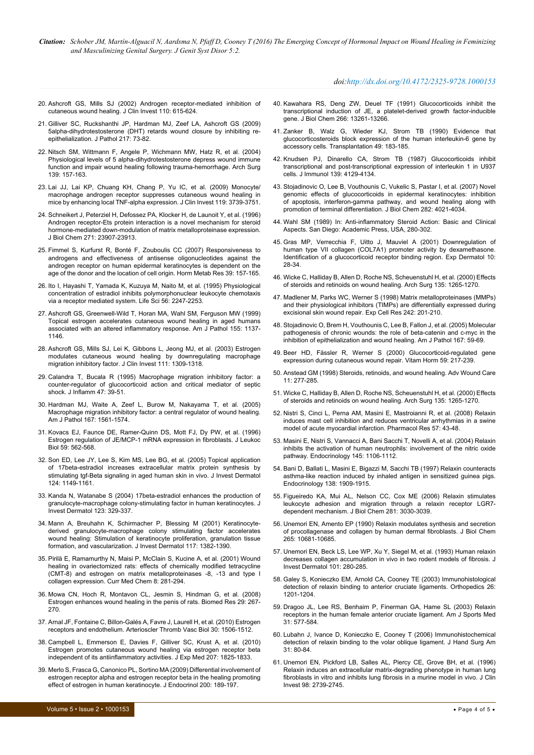*Citation: Schober JM, Martín-Alguacil N, Aardsma N, Pfaff D, Cooney T (2016) The Emerging Concept of Hormonal Impact on Wound Healing in Feminizing and Masculinizing Genital Surgery. J Genit Syst Disor 5:2.*

#### *doi:http://dx.doi.org/10.4172/2325-9728.1000153*

- <span id="page-3-3"></span>20. [Ashcroft GS, Mills SJ \(2002\) Androgen receptor-mediated inhibition of](http://www.ncbi.nlm.nih.gov/pubmed/12208862)  [cutaneous wound healing. J Clin Invest 110: 615-624.](http://www.ncbi.nlm.nih.gov/pubmed/12208862)
- <span id="page-3-0"></span>21. [Gilliver SC, Ruckshanthi JP, Hardman MJ, Zeef LA, Ashcroft GS \(2009\)](http://www.ncbi.nlm.nih.gov/pubmed/18855875)  [5alpha-dihydrotestosterone \(DHT\) retards wound closure by inhibiting re](http://www.ncbi.nlm.nih.gov/pubmed/18855875)[epithelialization. J Pathol 217: 73-82.](http://www.ncbi.nlm.nih.gov/pubmed/18855875)
- <span id="page-3-1"></span>22. [Nitsch SM, Wittmann F, Angele P, Wichmann MW, Hatz R, et al. \(2004\)](http://www.ncbi.nlm.nih.gov/pubmed/14769573)  [Physiological levels of 5 alpha-dihydrotestosterone depress wound immune](http://www.ncbi.nlm.nih.gov/pubmed/14769573)  [function and impair wound healing following trauma-hemorrhage. Arch Surg](http://www.ncbi.nlm.nih.gov/pubmed/14769573)  [139: 157-163.](http://www.ncbi.nlm.nih.gov/pubmed/14769573)
- <span id="page-3-2"></span>23. [Lai JJ, Lai KP, Chuang KH, Chang P, Yu IC, et al. \(2009\) Monocyte/](http://www.ncbi.nlm.nih.gov/pubmed/19907077) [macrophage androgen receptor suppresses cutaneous wound healing in](http://www.ncbi.nlm.nih.gov/pubmed/19907077)  [mice by enhancing local TNF-alpha expression. J Clin Invest 119: 3739-3751.](http://www.ncbi.nlm.nih.gov/pubmed/19907077)
- <span id="page-3-4"></span>24. [Schneikert J, Peterziel H, Defossez PA, Klocker H, de Launoit Y, et al. \(1996\)](http://www.ncbi.nlm.nih.gov/pubmed/8798622)  [Androgen receptor-Ets protein interaction is a novel mechanism for steroid](http://www.ncbi.nlm.nih.gov/pubmed/8798622)  [hormone-mediated down-modulation of matrix metalloproteinase expression.](http://www.ncbi.nlm.nih.gov/pubmed/8798622)  [J Biol Chem 271: 23907-23913.](http://www.ncbi.nlm.nih.gov/pubmed/8798622)
- <span id="page-3-5"></span>25. [Fimmel S, Kurfurst R, Bonté F, Zouboulis CC \(2007\) Responsiveness to](http://www.ncbi.nlm.nih.gov/pubmed/17326012)  [androgens and effectiveness of antisense oligonucleotides against the](http://www.ncbi.nlm.nih.gov/pubmed/17326012)  [androgen receptor on human epidermal keratinocytes is dependent on the](http://www.ncbi.nlm.nih.gov/pubmed/17326012)  [age of the donor and the location of cell origin. Horm Metab Res 39: 157-165.](http://www.ncbi.nlm.nih.gov/pubmed/17326012)
- <span id="page-3-6"></span>26. [Ito I, Hayashi T, Yamada K, Kuzuya M, Naito M, et al. \(1995\) Physiological](http://www.ncbi.nlm.nih.gov/pubmed/7791512)  [concentration of estradiol inhibits polymorphonuclear leukocyte chemotaxis](http://www.ncbi.nlm.nih.gov/pubmed/7791512)  [via a receptor mediated system. Life Sci 56: 2247-2253.](http://www.ncbi.nlm.nih.gov/pubmed/7791512)
- <span id="page-3-7"></span>27. [Ashcroft GS, Greenwell-Wild T, Horan MA, Wahl SM, Ferguson MW \(1999\)](http://www.ncbi.nlm.nih.gov/pubmed/10514397)  [Topical estrogen accelerates cutaneous wound healing in aged humans](http://www.ncbi.nlm.nih.gov/pubmed/10514397)  [associated with an altered inflammatory response. Am J Pathol 155: 1137-](http://www.ncbi.nlm.nih.gov/pubmed/10514397) [1146.](http://www.ncbi.nlm.nih.gov/pubmed/10514397)
- <span id="page-3-8"></span>28. [Ashcroft GS, Mills SJ, Lei K, Gibbons L, Jeong MJ, et al. \(2003\) Estrogen](http://www.ncbi.nlm.nih.gov/pubmed/12727922)  [modulates cutaneous wound healing by downregulating macrophage](http://www.ncbi.nlm.nih.gov/pubmed/12727922)  [migration inhibitory factor. J Clin Invest 111: 1309-1318.](http://www.ncbi.nlm.nih.gov/pubmed/12727922)
- <span id="page-3-9"></span>29. [Calandra T, Bucala R \(1995\) Macrophage migration inhibitory factor: a](http://www.ncbi.nlm.nih.gov/pubmed/8913928)  [counter-regulator of glucocorticoid action and critical mediator of septic](http://www.ncbi.nlm.nih.gov/pubmed/8913928)  [shock. J Inflamm 47: 39-51.](http://www.ncbi.nlm.nih.gov/pubmed/8913928)
- <span id="page-3-10"></span>30. [Hardman MJ, Waite A, Zeef L, Burow M, Nakayama T, et al. \(2005\)](http://www.ncbi.nlm.nih.gov/pubmed/16314470)  [Macrophage migration inhibitory factor: a central regulator of wound healing.](http://www.ncbi.nlm.nih.gov/pubmed/16314470)  [Am J Pathol 167: 1561-1574.](http://www.ncbi.nlm.nih.gov/pubmed/16314470)
- <span id="page-3-11"></span>31. [Kovacs EJ, Faunce DE, Ramer-Quinn DS, Mott FJ, Dy PW, et al. \(1996\)](http://www.ncbi.nlm.nih.gov/pubmed/8613705)  [Estrogen regulation of JE/MCP-1 mRNA expression in fibroblasts. J Leukoc](http://www.ncbi.nlm.nih.gov/pubmed/8613705)  [Biol 59: 562-568.](http://www.ncbi.nlm.nih.gov/pubmed/8613705)
- <span id="page-3-12"></span>32. [Son ED, Lee JY, Lee S, Kim MS, Lee BG, et al. \(2005\) Topical application](http://www.ncbi.nlm.nih.gov/pubmed/15955089)  [of 17beta-estradiol increases extracellular matrix protein synthesis by](http://www.ncbi.nlm.nih.gov/pubmed/15955089)  [stimulating tgf-Beta signaling in aged human skin in vivo. J Invest Dermatol](http://www.ncbi.nlm.nih.gov/pubmed/15955089)  [124: 1149-1161.](http://www.ncbi.nlm.nih.gov/pubmed/15955089)
- <span id="page-3-13"></span>33. [Kanda N, Watanabe S \(2004\) 17beta-estradiol enhances the production of](http://www.ncbi.nlm.nih.gov/pubmed/15245433)  [granulocyte-macrophage colony-stimulating factor in human keratinocytes. J](http://www.ncbi.nlm.nih.gov/pubmed/15245433)  [Invest Dermatol 123: 329-337.](http://www.ncbi.nlm.nih.gov/pubmed/15245433)
- <span id="page-3-14"></span>34. [Mann A, Breuhahn K, Schirmacher P, Blessing M \(2001\) Keratinocyte](http://www.ncbi.nlm.nih.gov/pubmed/11886498)[derived granulocyte-macrophage colony stimulating factor accelerates](http://www.ncbi.nlm.nih.gov/pubmed/11886498)  [wound healing: Stimulation of keratinocyte proliferation, granulation tissue](http://www.ncbi.nlm.nih.gov/pubmed/11886498)  [formation, and vascularization. J Invest Dermatol 117: 1382-1390.](http://www.ncbi.nlm.nih.gov/pubmed/11886498)
- <span id="page-3-15"></span>35. [Pirilä E, Ramamurthy N, Maisi P, McClain S, Kucine A, et al. \(2001\) Wound](http://www.ncbi.nlm.nih.gov/pubmed/11172683)  [healing in ovariectomized rats: effects of chemically modified tetracycline](http://www.ncbi.nlm.nih.gov/pubmed/11172683)  [\(CMT-8\) and estrogen on matrix metalloproteinases -8, -13 and type I](http://www.ncbi.nlm.nih.gov/pubmed/11172683)  [collagen expression. Curr Med Chem 8: 281-294.](http://www.ncbi.nlm.nih.gov/pubmed/11172683)
- <span id="page-3-16"></span>36. [Mowa CN, Hoch R, Montavon CL, Jesmin S, Hindman G, et al. \(2008\)](http://www.ncbi.nlm.nih.gov/pubmed/18997442)  [Estrogen enhances wound healing in the penis of rats. Biomed Res 29: 267-](http://www.ncbi.nlm.nih.gov/pubmed/18997442) [270.](http://www.ncbi.nlm.nih.gov/pubmed/18997442)
- <span id="page-3-17"></span>37. [Arnal JF, Fontaine C, Billon-Galés A, Favre J, Laurell H, et al. \(2010\) Estrogen](http://www.ncbi.nlm.nih.gov/pubmed/20631350)  [receptors and endothelium. Arterioscler Thromb Vasc Biol 30: 1506-1512.](http://www.ncbi.nlm.nih.gov/pubmed/20631350)
- <span id="page-3-18"></span>38. [Campbell L, Emmerson E, Davies F, Gilliver SC, Krust A, et al. \(2010\)](http://www.ncbi.nlm.nih.gov/pubmed/20733032)  [Estrogen promotes cutaneous wound healing via estrogen receptor beta](http://www.ncbi.nlm.nih.gov/pubmed/20733032)  [independent of its antiinflammatory activities. J Exp Med 207: 1825-1833.](http://www.ncbi.nlm.nih.gov/pubmed/20733032)
- <span id="page-3-19"></span>39. [Merlo S, Frasca G, Canonico PL, Sortino MA \(2009\) Differential involvement of](http://www.ncbi.nlm.nih.gov/pubmed/19008331)  [estrogen receptor alpha and estrogen receptor beta in the healing promoting](http://www.ncbi.nlm.nih.gov/pubmed/19008331)  [effect of estrogen in human keratinocyte. J Endocrinol 200: 189-197.](http://www.ncbi.nlm.nih.gov/pubmed/19008331)
- <span id="page-3-20"></span>40. [Kawahara RS, Deng ZW, Deuel TF \(1991\) Glucocorticoids inhibit the](http://www.ncbi.nlm.nih.gov/pubmed/1712776)  [transcriptional induction of JE, a platelet-derived growth factor-inducible](http://www.ncbi.nlm.nih.gov/pubmed/1712776)  [gene. J Biol Chem 266: 13261-13266.](http://www.ncbi.nlm.nih.gov/pubmed/1712776)
- <span id="page-3-21"></span>41. [Zanker B, Walz G, Wieder KJ, Strom TB \(1990\) Evidence that](http://www.ncbi.nlm.nih.gov/pubmed/2301010)  [glucocorticosteroids block expression of the human interleukin-6 gene by](http://www.ncbi.nlm.nih.gov/pubmed/2301010)  [accessory cells. Transplantation 49: 183-185.](http://www.ncbi.nlm.nih.gov/pubmed/2301010)
- <span id="page-3-22"></span>42. [Knudsen PJ, Dinarello CA, Strom TB \(1987\) Glucocorticoids inhibit](http://www.ncbi.nlm.nih.gov/pubmed/2826581)  [transcriptional and post-transcriptional expression of interleukin 1 in U937](http://www.ncbi.nlm.nih.gov/pubmed/2826581)  [cells. J Immunol 139: 4129-4134.](http://www.ncbi.nlm.nih.gov/pubmed/2826581)
- <span id="page-3-23"></span>43. [Stojadinovic O, Lee B, Vouthounis C, Vukelic S, Pastar I, et al. \(2007\) Novel](http://www.ncbi.nlm.nih.gov/pubmed/17095510)  genomic effects of glucocorticoids in epidermal keratinocytes: inhibition [of apoptosis, interferon-gamma pathway, and wound healing along with](http://www.ncbi.nlm.nih.gov/pubmed/17095510)  [promotion of terminal differentiation. J Biol Chem 282: 4021-4034.](http://www.ncbi.nlm.nih.gov/pubmed/17095510)
- <span id="page-3-24"></span>44. Wahl SM (1989) In: Anti-inflammatory Steroid Action: Basic and Clinical Aspects. San Diego: Academic Press, USA, 280-302.
- <span id="page-3-25"></span>45. [Gras MP, Verrecchia F, Uitto J, Mauviel A \(2001\) Downregulation of](http://www.ncbi.nlm.nih.gov/pubmed/11168577)  human type VII collagen (COL7A1) promoter activity by dexamethasone. Identification of a glucocorticoid receptor binding region. Exp Dermatol 10: [28-34.](http://www.ncbi.nlm.nih.gov/pubmed/11168577)
- <span id="page-3-26"></span>46. [Wicke C, Halliday B, Allen D, Roche NS, Scheuenstuhl H, et al. \(2000\) Effects](http://www.ncbi.nlm.nih.gov/pubmed/11074878)  [of steroids and retinoids on wound healing. Arch Surg 135: 1265-1270.](http://www.ncbi.nlm.nih.gov/pubmed/11074878)
- <span id="page-3-27"></span>47. [Madlener M, Parks WC, Werner S \(1998\) Matrix metalloproteinases \(MMPs\)](http://www.ncbi.nlm.nih.gov/pubmed/9665817)  [and their physiological inhibitors \(TIMPs\) are differentially expressed during](http://www.ncbi.nlm.nih.gov/pubmed/9665817)  [excisional skin wound repair. Exp Cell Res 242: 201-210.](http://www.ncbi.nlm.nih.gov/pubmed/9665817)
- <span id="page-3-28"></span>48. [Stojadinovic O, Brem H, Vouthounis C, Lee B, Fallon J, et al. \(2005\) Molecular](http://www.ncbi.nlm.nih.gov/pubmed/15972952)  [pathogenesis of chronic wounds: the role of beta-catenin and c-myc in the](http://www.ncbi.nlm.nih.gov/pubmed/15972952)  [inhibition of epithelialization and wound healing. Am J Pathol 167: 59-69.](http://www.ncbi.nlm.nih.gov/pubmed/15972952)
- <span id="page-3-29"></span>49. [Beer HD, Fässler R, Werner S \(2000\) Glucocorticoid-regulated gene](http://www.ncbi.nlm.nih.gov/pubmed/10714241)  [expression during cutaneous wound repair. Vitam Horm 59: 217-239.](http://www.ncbi.nlm.nih.gov/pubmed/10714241)
- <span id="page-3-30"></span>50. [Anstead GM \(1998\) Steroids, retinoids, and wound healing. Adv Wound Care](http://www.ncbi.nlm.nih.gov/pubmed/10326344)  [11: 277-285.](http://www.ncbi.nlm.nih.gov/pubmed/10326344)
- <span id="page-3-31"></span>51. [Wicke C, Halliday B, Allen D, Roche NS, Scheuenstuhl H, et al. \(2000\) Effects](http://www.ncbi.nlm.nih.gov/pubmed/11074878)  [of steroids and retinoids on wound healing. Arch Surg 135: 1265-1270.](http://www.ncbi.nlm.nih.gov/pubmed/11074878)
- <span id="page-3-32"></span>52. [Nistri S, Cinci L, Perna AM, Masini E, Mastroianni R, et al. \(2008\) Relaxin](http://www.ncbi.nlm.nih.gov/pubmed/18068999)  [induces mast cell inhibition and reduces ventricular arrhythmias in a swine](http://www.ncbi.nlm.nih.gov/pubmed/18068999)  [model of acute myocardial infarction. Pharmacol Res 57: 43-48.](http://www.ncbi.nlm.nih.gov/pubmed/18068999)
- <span id="page-3-33"></span>53. [Masini E, Nistri S, Vannacci A, Bani Sacchi T, Novelli A, et al. \(2004\) Relaxin](http://www.ncbi.nlm.nih.gov/pubmed/14630720)  [inhibits the activation of human neutrophils: involvement of the nitric oxide](http://www.ncbi.nlm.nih.gov/pubmed/14630720)  [pathway. Endocrinology 145: 1106-1112.](http://www.ncbi.nlm.nih.gov/pubmed/14630720)
- <span id="page-3-34"></span>54. [Bani D, Ballati L, Masini E, Bigazzi M, Sacchi TB \(1997\) Relaxin counteracts](http://www.ncbi.nlm.nih.gov/pubmed/9112386)  [asthma-like reaction induced by inhaled antigen in sensitized guinea pigs.](http://www.ncbi.nlm.nih.gov/pubmed/9112386)  [Endocrinology 138: 1909-1915.](http://www.ncbi.nlm.nih.gov/pubmed/9112386)
- <span id="page-3-35"></span>55. [Figueiredo KA, Mui AL, Nelson CC, Cox ME \(2006\) Relaxin stimulates](http://www.ncbi.nlm.nih.gov/pubmed/16303766)  [leukocyte adhesion and migration through a relaxin receptor LGR7](http://www.ncbi.nlm.nih.gov/pubmed/16303766) [dependent mechanism. J Biol Chem 281: 3030-3039.](http://www.ncbi.nlm.nih.gov/pubmed/16303766)
- <span id="page-3-36"></span>56. [Unemori EN, Amento EP \(1990\) Relaxin modulates synthesis and secretion](http://www.ncbi.nlm.nih.gov/pubmed/2162358)  [of procollagenase and collagen by human dermal fibroblasts. J Biol Chem](http://www.ncbi.nlm.nih.gov/pubmed/2162358)  [265: 10681-10685.](http://www.ncbi.nlm.nih.gov/pubmed/2162358)
- <span id="page-3-37"></span>57. [Unemori EN, Beck LS, Lee WP, Xu Y, Siegel M, et al. \(1993\) Human relaxin](http://www.ncbi.nlm.nih.gov/pubmed/8370965)  [decreases collagen accumulation in vivo in two rodent models of fibrosis. J](http://www.ncbi.nlm.nih.gov/pubmed/8370965)  [Invest Dermatol 101: 280-285.](http://www.ncbi.nlm.nih.gov/pubmed/8370965)
- <span id="page-3-38"></span>58. [Galey S, Konieczko EM, Arnold CA, Cooney TE \(2003\) Immunohistological](http://www.ncbi.nlm.nih.gov/pubmed/14690289)  [detection of relaxin binding to anterior cruciate ligaments. Orthopedics 26:](http://www.ncbi.nlm.nih.gov/pubmed/14690289)  [1201-1204.](http://www.ncbi.nlm.nih.gov/pubmed/14690289)
- 59. [Dragoo JL, Lee RS, Benhaim P, Finerman GA, Hame SL \(2003\) Relaxin](http://www.ncbi.nlm.nih.gov/pubmed/12860548)  [receptors in the human female anterior cruciate ligament. Am J Sports Med](http://www.ncbi.nlm.nih.gov/pubmed/12860548)  [31: 577-584.](http://www.ncbi.nlm.nih.gov/pubmed/12860548)
- <span id="page-3-39"></span>60. [Lubahn J, Ivance D, Konieczko E, Cooney T \(2006\) Immunohistochemical](http://www.ncbi.nlm.nih.gov/pubmed/16443109)  [detection of relaxin binding to the volar oblique ligament. J Hand Surg Am](http://www.ncbi.nlm.nih.gov/pubmed/16443109)  [31: 80-84.](http://www.ncbi.nlm.nih.gov/pubmed/16443109)
- <span id="page-3-40"></span>61. [Unemori EN, Pickford LB, Salles AL, Piercy CE, Grove BH, et al. \(1996\)](http://www.ncbi.nlm.nih.gov/pubmed/8981919)  [Relaxin induces an extracellular matrix-degrading phenotype in human lung](http://www.ncbi.nlm.nih.gov/pubmed/8981919)  [fibroblasts in vitro and inhibits lung fibrosis in a murine model in vivo. J Clin](http://www.ncbi.nlm.nih.gov/pubmed/8981919)  [Invest 98: 2739-2745.](http://www.ncbi.nlm.nih.gov/pubmed/8981919)